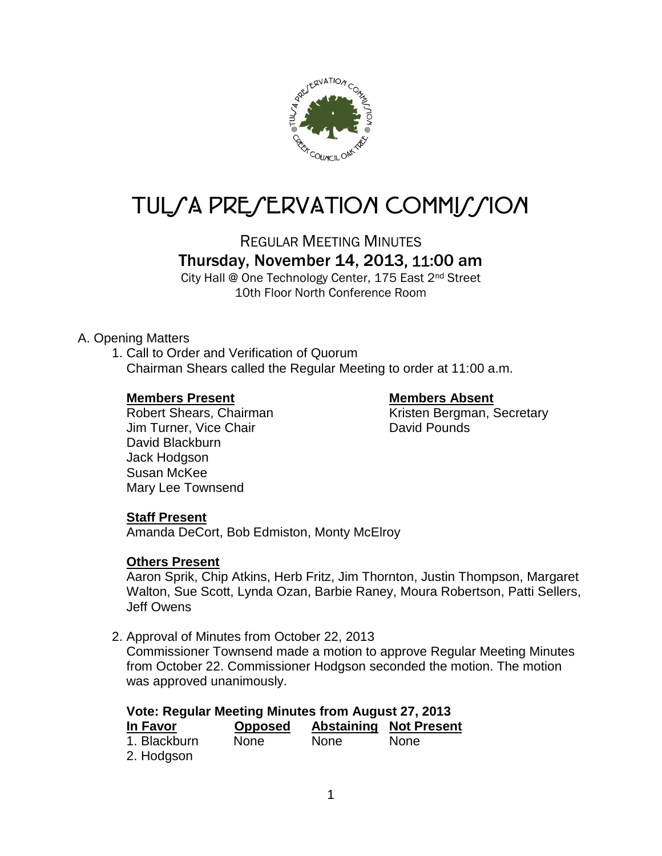

# TUL/A PRE/ERVATION COMMI*J*/ION

REGULAR MEETING MINUTES

Thursday, November 14, 2013, 11:00 am

City Hall @ One Technology Center, 175 East 2nd Street 10th Floor North Conference Room

# A. Opening Matters

1. Call to Order and Verification of Quorum Chairman Shears called the Regular Meeting to order at 11:00 a.m.

# **Members Present Members Absent**

Jim Turner, Vice Chair **David Pounds** David Blackburn Jack Hodgson Susan McKee Mary Lee Townsend

Robert Shears, Chairman Kristen Bergman, Secretary

# **Staff Present**

Amanda DeCort, Bob Edmiston, Monty McElroy

# **Others Present**

Aaron Sprik, Chip Atkins, Herb Fritz, Jim Thornton, Justin Thompson, Margaret Walton, Sue Scott, Lynda Ozan, Barbie Raney, Moura Robertson, Patti Sellers, Jeff Owens

2. Approval of Minutes from October 22, 2013

Commissioner Townsend made a motion to approve Regular Meeting Minutes from October 22. Commissioner Hodgson seconded the motion. The motion was approved unanimously.

| Vote: Regular Meeting Minutes from August 27, 2013 |                |      |                               |
|----------------------------------------------------|----------------|------|-------------------------------|
| In Favor                                           | <b>Opposed</b> |      | <b>Abstaining Not Present</b> |
| 1. Blackburn                                       | <b>None</b>    | None | <b>None</b>                   |
| 2. Hodgson                                         |                |      |                               |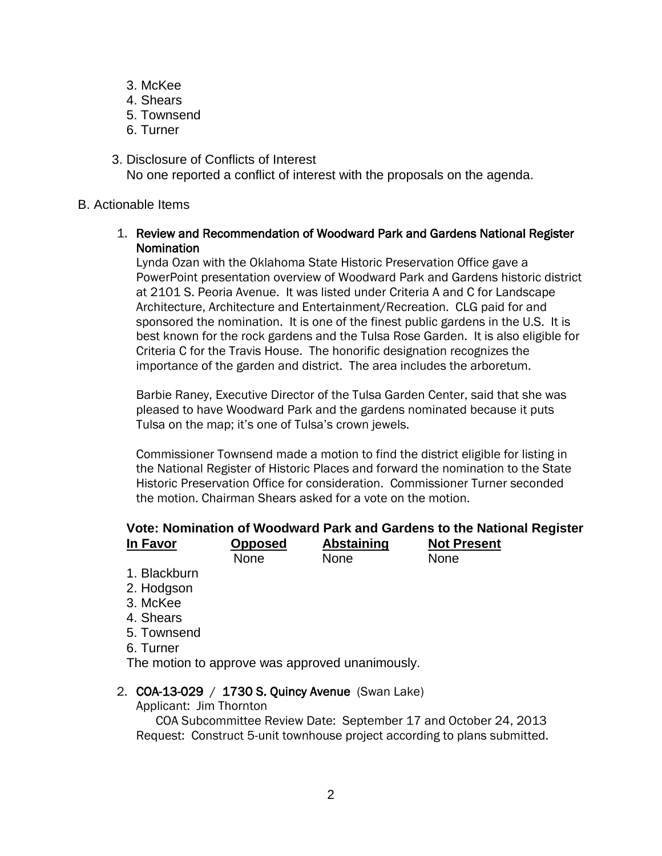- 3. McKee
- 4. Shears
- 5. Townsend
- 6. Turner
- 3. Disclosure of Conflicts of Interest No one reported a conflict of interest with the proposals on the agenda.

# B. Actionable Items

# 1. Review and Recommendation of Woodward Park and Gardens National Register Nomination

Lynda Ozan with the Oklahoma State Historic Preservation Office gave a PowerPoint presentation overview of Woodward Park and Gardens historic district at 2101 S. Peoria Avenue. It was listed under Criteria A and C for Landscape Architecture, Architecture and Entertainment/Recreation. CLG paid for and sponsored the nomination. It is one of the finest public gardens in the U.S. It is best known for the rock gardens and the Tulsa Rose Garden. It is also eligible for Criteria C for the Travis House. The honorific designation recognizes the importance of the garden and district. The area includes the arboretum.

Barbie Raney, Executive Director of the Tulsa Garden Center, said that she was pleased to have Woodward Park and the gardens nominated because it puts Tulsa on the map; it's one of Tulsa's crown jewels.

Commissioner Townsend made a motion to find the district eligible for listing in the National Register of Historic Places and forward the nomination to the State Historic Preservation Office for consideration. Commissioner Turner seconded the motion. Chairman Shears asked for a vote on the motion.

# **Vote: Nomination of Woodward Park and Gardens to the National Register**

| In Favor | <b>Opposed</b> | <b>Abstaining</b> | <b>Not Present</b> |  |
|----------|----------------|-------------------|--------------------|--|
|          | None           | <b>None</b>       | None               |  |
|          |                |                   |                    |  |

- 1. Blackburn
- 2. Hodgson
- 3. McKee
- 4. Shears
- 5. Townsend
- 6. Turner

The motion to approve was approved unanimously.

# 2. COA-13-029 / 1730 S. Quincy Avenue (Swan Lake)

Applicant: Jim Thornton

COA Subcommittee Review Date: September 17 and October 24, 2013 Request: Construct 5-unit townhouse project according to plans submitted.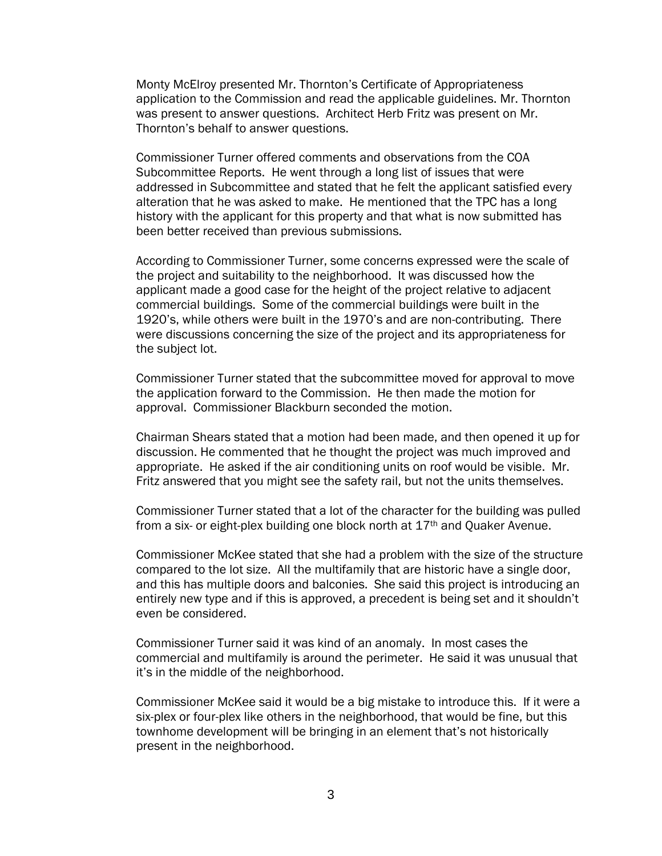Monty McElroy presented Mr. Thornton's Certificate of Appropriateness application to the Commission and read the applicable guidelines. Mr. Thornton was present to answer questions. Architect Herb Fritz was present on Mr. Thornton's behalf to answer questions.

Commissioner Turner offered comments and observations from the COA Subcommittee Reports. He went through a long list of issues that were addressed in Subcommittee and stated that he felt the applicant satisfied every alteration that he was asked to make. He mentioned that the TPC has a long history with the applicant for this property and that what is now submitted has been better received than previous submissions.

According to Commissioner Turner, some concerns expressed were the scale of the project and suitability to the neighborhood. It was discussed how the applicant made a good case for the height of the project relative to adjacent commercial buildings. Some of the commercial buildings were built in the 1920's, while others were built in the 1970's and are non-contributing. There were discussions concerning the size of the project and its appropriateness for the subject lot.

Commissioner Turner stated that the subcommittee moved for approval to move the application forward to the Commission. He then made the motion for approval. Commissioner Blackburn seconded the motion.

Chairman Shears stated that a motion had been made, and then opened it up for discussion. He commented that he thought the project was much improved and appropriate. He asked if the air conditioning units on roof would be visible. Mr. Fritz answered that you might see the safety rail, but not the units themselves.

Commissioner Turner stated that a lot of the character for the building was pulled from a six- or eight-plex building one block north at 17th and Quaker Avenue.

Commissioner McKee stated that she had a problem with the size of the structure compared to the lot size. All the multifamily that are historic have a single door, and this has multiple doors and balconies. She said this project is introducing an entirely new type and if this is approved, a precedent is being set and it shouldn't even be considered.

Commissioner Turner said it was kind of an anomaly. In most cases the commercial and multifamily is around the perimeter. He said it was unusual that it's in the middle of the neighborhood.

Commissioner McKee said it would be a big mistake to introduce this. If it were a six-plex or four-plex like others in the neighborhood, that would be fine, but this townhome development will be bringing in an element that's not historically present in the neighborhood.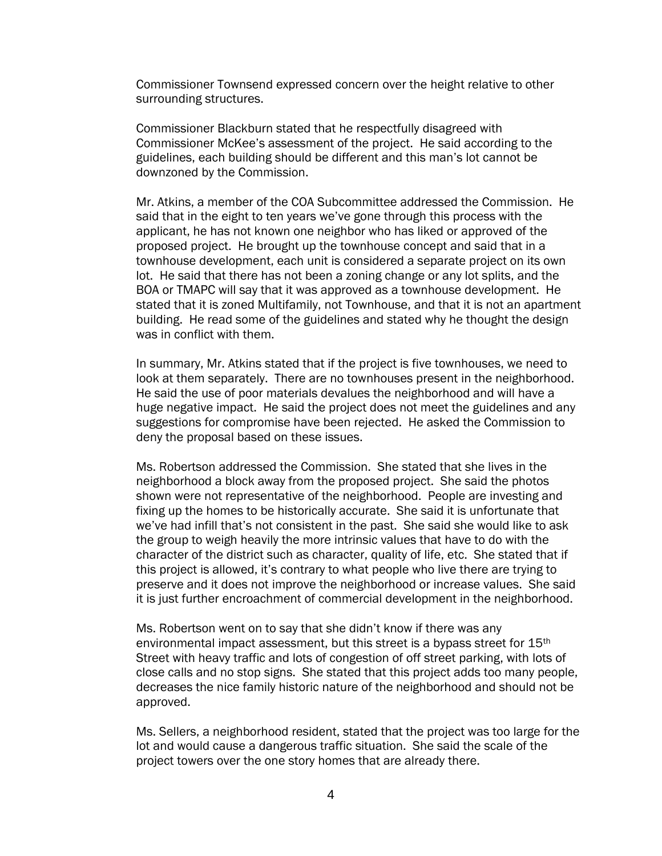Commissioner Townsend expressed concern over the height relative to other surrounding structures.

Commissioner Blackburn stated that he respectfully disagreed with Commissioner McKee's assessment of the project. He said according to the guidelines, each building should be different and this man's lot cannot be downzoned by the Commission.

Mr. Atkins, a member of the COA Subcommittee addressed the Commission. He said that in the eight to ten years we've gone through this process with the applicant, he has not known one neighbor who has liked or approved of the proposed project. He brought up the townhouse concept and said that in a townhouse development, each unit is considered a separate project on its own lot. He said that there has not been a zoning change or any lot splits, and the BOA or TMAPC will say that it was approved as a townhouse development. He stated that it is zoned Multifamily, not Townhouse, and that it is not an apartment building. He read some of the guidelines and stated why he thought the design was in conflict with them.

In summary, Mr. Atkins stated that if the project is five townhouses, we need to look at them separately. There are no townhouses present in the neighborhood. He said the use of poor materials devalues the neighborhood and will have a huge negative impact. He said the project does not meet the guidelines and any suggestions for compromise have been rejected. He asked the Commission to deny the proposal based on these issues.

Ms. Robertson addressed the Commission. She stated that she lives in the neighborhood a block away from the proposed project. She said the photos shown were not representative of the neighborhood. People are investing and fixing up the homes to be historically accurate. She said it is unfortunate that we've had infill that's not consistent in the past. She said she would like to ask the group to weigh heavily the more intrinsic values that have to do with the character of the district such as character, quality of life, etc. She stated that if this project is allowed, it's contrary to what people who live there are trying to preserve and it does not improve the neighborhood or increase values. She said it is just further encroachment of commercial development in the neighborhood.

Ms. Robertson went on to say that she didn't know if there was any environmental impact assessment, but this street is a bypass street for 15<sup>th</sup> Street with heavy traffic and lots of congestion of off street parking, with lots of close calls and no stop signs. She stated that this project adds too many people, decreases the nice family historic nature of the neighborhood and should not be approved.

Ms. Sellers, a neighborhood resident, stated that the project was too large for the lot and would cause a dangerous traffic situation. She said the scale of the project towers over the one story homes that are already there.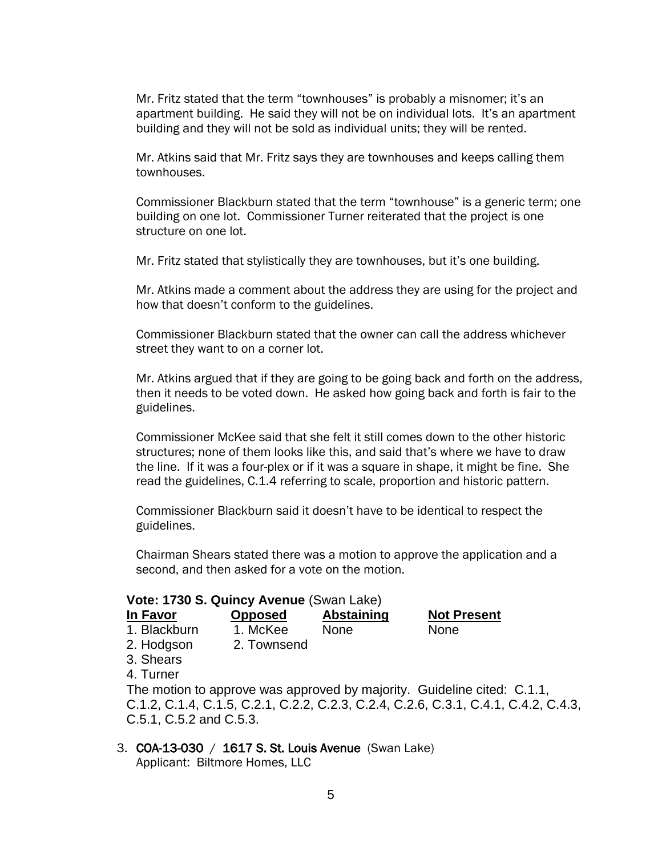Mr. Fritz stated that the term "townhouses" is probably a misnomer; it's an apartment building. He said they will not be on individual lots. It's an apartment building and they will not be sold as individual units; they will be rented.

Mr. Atkins said that Mr. Fritz says they are townhouses and keeps calling them townhouses.

Commissioner Blackburn stated that the term "townhouse" is a generic term; one building on one lot. Commissioner Turner reiterated that the project is one structure on one lot.

Mr. Fritz stated that stylistically they are townhouses, but it's one building.

Mr. Atkins made a comment about the address they are using for the project and how that doesn't conform to the guidelines.

Commissioner Blackburn stated that the owner can call the address whichever street they want to on a corner lot.

Mr. Atkins argued that if they are going to be going back and forth on the address, then it needs to be voted down. He asked how going back and forth is fair to the guidelines.

Commissioner McKee said that she felt it still comes down to the other historic structures; none of them looks like this, and said that's where we have to draw the line. If it was a four-plex or if it was a square in shape, it might be fine. She read the guidelines, C.1.4 referring to scale, proportion and historic pattern.

Commissioner Blackburn said it doesn't have to be identical to respect the guidelines.

Chairman Shears stated there was a motion to approve the application and a second, and then asked for a vote on the motion.

#### **Vote: 1730 S. Quincy Avenue** (Swan Lake)

| In Favor     | <b>Opposed</b> | Abstaining  | <b>Not Present</b> |
|--------------|----------------|-------------|--------------------|
| 1. Blackburn | 1. McKee       | <b>None</b> | <b>None</b>        |
| 2. Hodgson   | 2. Townsend    |             |                    |

- 3. Shears
- 4. Turner

The motion to approve was approved by majority. Guideline cited: C.1.1, C.1.2, C.1.4, C.1.5, C.2.1, C.2.2, C.2.3, C.2.4, C.2.6, C.3.1, C.4.1, C.4.2, C.4.3, C.5.1, C.5.2 and C.5.3.

#### 3. COA-13-030 / 1617 S. St. Louis Avenue (Swan Lake) Applicant: Biltmore Homes, LLC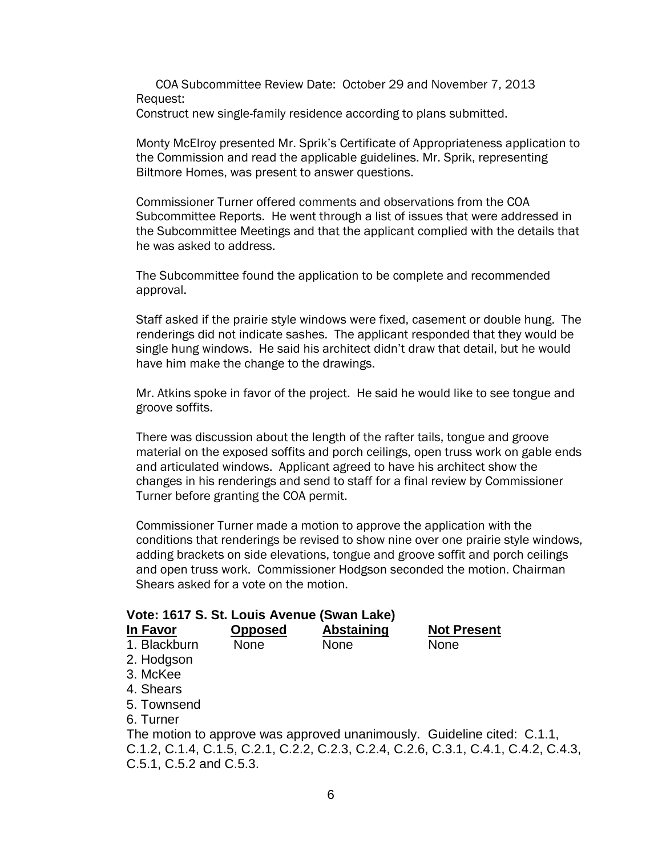COA Subcommittee Review Date: October 29 and November 7, 2013 Request:

Construct new single-family residence according to plans submitted.

Monty McElroy presented Mr. Sprik's Certificate of Appropriateness application to the Commission and read the applicable guidelines. Mr. Sprik, representing Biltmore Homes, was present to answer questions.

Commissioner Turner offered comments and observations from the COA Subcommittee Reports. He went through a list of issues that were addressed in the Subcommittee Meetings and that the applicant complied with the details that he was asked to address.

The Subcommittee found the application to be complete and recommended approval.

Staff asked if the prairie style windows were fixed, casement or double hung. The renderings did not indicate sashes. The applicant responded that they would be single hung windows. He said his architect didn't draw that detail, but he would have him make the change to the drawings.

Mr. Atkins spoke in favor of the project. He said he would like to see tongue and groove soffits.

There was discussion about the length of the rafter tails, tongue and groove material on the exposed soffits and porch ceilings, open truss work on gable ends and articulated windows. Applicant agreed to have his architect show the changes in his renderings and send to staff for a final review by Commissioner Turner before granting the COA permit.

Commissioner Turner made a motion to approve the application with the conditions that renderings be revised to show nine over one prairie style windows, adding brackets on side elevations, tongue and groove soffit and porch ceilings and open truss work. Commissioner Hodgson seconded the motion. Chairman Shears asked for a vote on the motion.

| Vote: 1617 S. St. Louis Avenue (Swan Lake)                                          |                |                   |                    |  |
|-------------------------------------------------------------------------------------|----------------|-------------------|--------------------|--|
| In Favor                                                                            | <b>Opposed</b> | <b>Abstaining</b> | <b>Not Present</b> |  |
| 1. Blackburn                                                                        | <b>None</b>    | None              | None               |  |
| 2. Hodgson                                                                          |                |                   |                    |  |
| 3. McKee                                                                            |                |                   |                    |  |
| 4. Shears                                                                           |                |                   |                    |  |
| 5. Townsend                                                                         |                |                   |                    |  |
| 6. Turner                                                                           |                |                   |                    |  |
| The motion to approve was approved unanimously. Guideline cited: C.1.1,             |                |                   |                    |  |
| C.1.2, C.1.4, C.1.5, C.2.1, C.2.2, C.2.3, C.2.4, C.2.6, C.3.1, C.4.1, C.4.2, C.4.3, |                |                   |                    |  |
| C.5.1, C.5.2 and C.5.3.                                                             |                |                   |                    |  |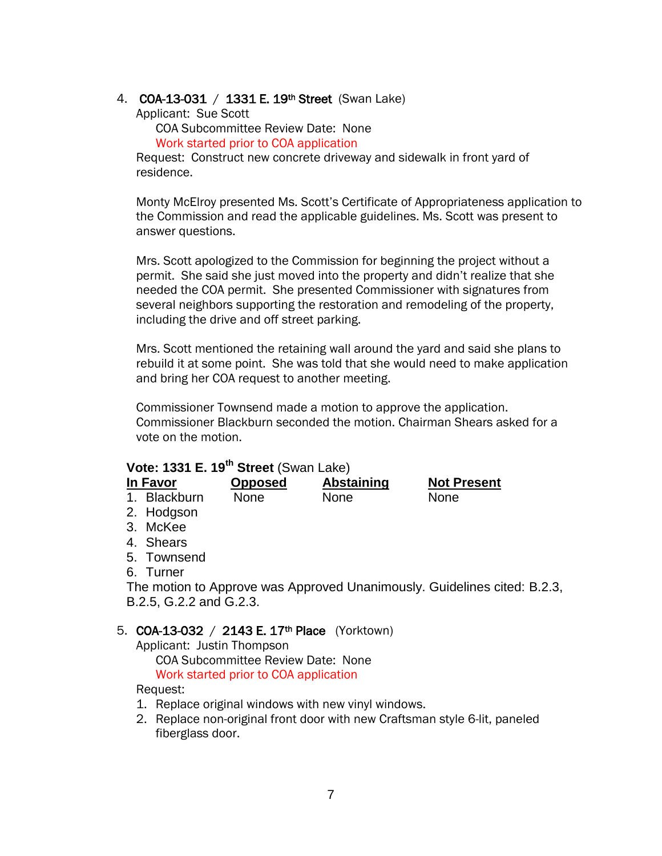## 4. COA-13-031 / 1331 E. 19<sup>th</sup> Street (Swan Lake)

Applicant: Sue Scott

COA Subcommittee Review Date: None

Work started prior to COA application

Request: Construct new concrete driveway and sidewalk in front yard of residence.

Monty McElroy presented Ms. Scott's Certificate of Appropriateness application to the Commission and read the applicable guidelines. Ms. Scott was present to answer questions.

Mrs. Scott apologized to the Commission for beginning the project without a permit. She said she just moved into the property and didn't realize that she needed the COA permit. She presented Commissioner with signatures from several neighbors supporting the restoration and remodeling of the property, including the drive and off street parking.

Mrs. Scott mentioned the retaining wall around the yard and said she plans to rebuild it at some point. She was told that she would need to make application and bring her COA request to another meeting.

Commissioner Townsend made a motion to approve the application. Commissioner Blackburn seconded the motion. Chairman Shears asked for a vote on the motion.

# **Vote: 1331 E. 19th Street** (Swan Lake)

| In Favor     | <b>Opposed</b> | Abstaining | <b>Not Present</b> |
|--------------|----------------|------------|--------------------|
| 1. Blackburn | <b>None</b>    | None       | <b>None</b>        |
| n Iladaasa   |                |            |                    |

- 2. Hodgson
- 3. McKee
- 4. Shears
- 5. Townsend
- 6. Turner

The motion to Approve was Approved Unanimously. Guidelines cited: B.2.3, B.2.5, G.2.2 and G.2.3.

### 5. COA-13-032 / 2143 E. 17th Place (Yorktown)

Applicant: Justin Thompson

COA Subcommittee Review Date: None Work started prior to COA application

Request:

- 1. Replace original windows with new vinyl windows.
- 2. Replace non-original front door with new Craftsman style 6-lit, paneled fiberglass door.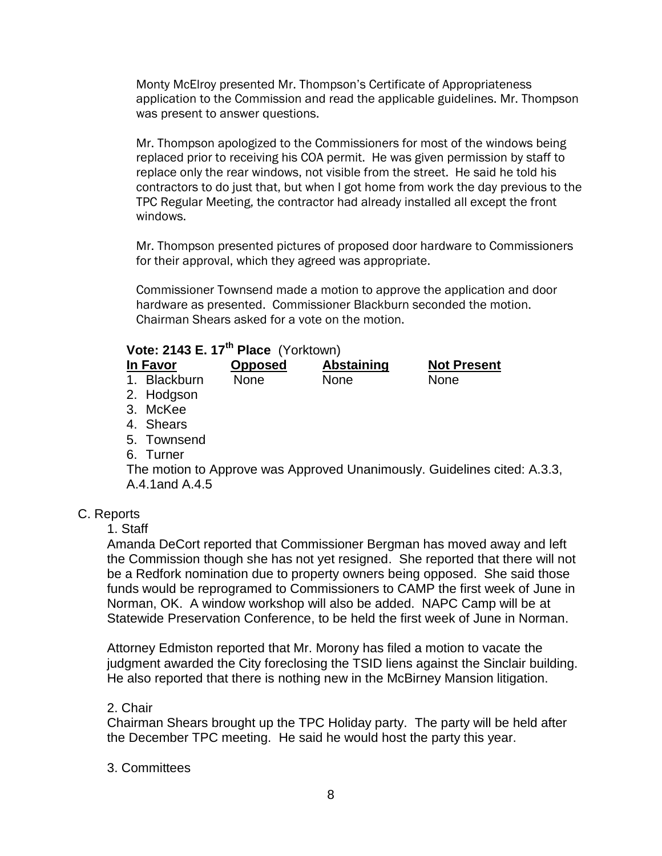Monty McElroy presented Mr. Thompson's Certificate of Appropriateness application to the Commission and read the applicable guidelines. Mr. Thompson was present to answer questions.

Mr. Thompson apologized to the Commissioners for most of the windows being replaced prior to receiving his COA permit. He was given permission by staff to replace only the rear windows, not visible from the street. He said he told his contractors to do just that, but when I got home from work the day previous to the TPC Regular Meeting, the contractor had already installed all except the front windows.

Mr. Thompson presented pictures of proposed door hardware to Commissioners for their approval, which they agreed was appropriate.

Commissioner Townsend made a motion to approve the application and door hardware as presented. Commissioner Blackburn seconded the motion. Chairman Shears asked for a vote on the motion.

# **Vote: 2143 E. 17th Place** (Yorktown)

| In Favor     | <b>Opposed</b> | <b>Abstaining</b> | <b>Not Present</b> |
|--------------|----------------|-------------------|--------------------|
| 1. Blackburn | <b>None</b>    | <b>None</b>       | None               |
| 2. Hodgson   |                |                   |                    |
| 3. McKee     |                |                   |                    |
| 4. Shears    |                |                   |                    |
| 5. Townsend  |                |                   |                    |
| 6. Turner    |                |                   |                    |
|              |                |                   |                    |

The motion to Approve was Approved Unanimously. Guidelines cited: A.3.3, A.4.1and A.4.5

# C. Reports

1. Staff

Amanda DeCort reported that Commissioner Bergman has moved away and left the Commission though she has not yet resigned. She reported that there will not be a Redfork nomination due to property owners being opposed. She said those funds would be reprogramed to Commissioners to CAMP the first week of June in Norman, OK. A window workshop will also be added. NAPC Camp will be at Statewide Preservation Conference, to be held the first week of June in Norman.

Attorney Edmiston reported that Mr. Morony has filed a motion to vacate the judgment awarded the City foreclosing the TSID liens against the Sinclair building. He also reported that there is nothing new in the McBirney Mansion litigation.

# 2. Chair

Chairman Shears brought up the TPC Holiday party. The party will be held after the December TPC meeting. He said he would host the party this year.

# 3. Committees